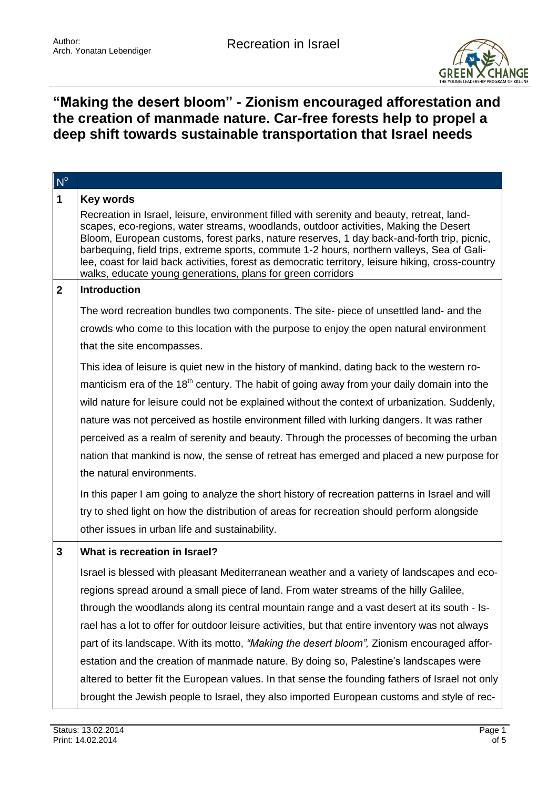

## **"Making the desert bloom" - Zionism encouraged afforestation and the creation of manmade nature. Car-free forests help to propel a deep shift towards sustainable transportation that Israel needs**

| $N^{\circ}$  |                                                                                                                                                                                                                                                                                                                                                                                                                                                                                                                                                     |
|--------------|-----------------------------------------------------------------------------------------------------------------------------------------------------------------------------------------------------------------------------------------------------------------------------------------------------------------------------------------------------------------------------------------------------------------------------------------------------------------------------------------------------------------------------------------------------|
| $\mathbf 1$  | <b>Key words</b>                                                                                                                                                                                                                                                                                                                                                                                                                                                                                                                                    |
|              | Recreation in Israel, leisure, environment filled with serenity and beauty, retreat, land-<br>scapes, eco-regions, water streams, woodlands, outdoor activities, Making the Desert<br>Bloom, European customs, forest parks, nature reserves, 1 day back-and-forth trip, picnic,<br>barbequing, field trips, extreme sports, commute 1-2 hours, northern valleys, Sea of Gali-<br>lee, coast for laid back activities, forest as democratic territory, leisure hiking, cross-country<br>walks, educate young generations, plans for green corridors |
| $\mathbf{2}$ | <b>Introduction</b>                                                                                                                                                                                                                                                                                                                                                                                                                                                                                                                                 |
|              | The word recreation bundles two components. The site- piece of unsettled land- and the                                                                                                                                                                                                                                                                                                                                                                                                                                                              |
|              | crowds who come to this location with the purpose to enjoy the open natural environment                                                                                                                                                                                                                                                                                                                                                                                                                                                             |
|              | that the site encompasses.                                                                                                                                                                                                                                                                                                                                                                                                                                                                                                                          |
|              | This idea of leisure is quiet new in the history of mankind, dating back to the western ro-                                                                                                                                                                                                                                                                                                                                                                                                                                                         |
|              | manticism era of the 18 <sup>th</sup> century. The habit of going away from your daily domain into the                                                                                                                                                                                                                                                                                                                                                                                                                                              |
|              | wild nature for leisure could not be explained without the context of urbanization. Suddenly,                                                                                                                                                                                                                                                                                                                                                                                                                                                       |
|              | nature was not perceived as hostile environment filled with lurking dangers. It was rather                                                                                                                                                                                                                                                                                                                                                                                                                                                          |
|              | perceived as a realm of serenity and beauty. Through the processes of becoming the urban                                                                                                                                                                                                                                                                                                                                                                                                                                                            |
|              | nation that mankind is now, the sense of retreat has emerged and placed a new purpose for                                                                                                                                                                                                                                                                                                                                                                                                                                                           |
|              | the natural environments.                                                                                                                                                                                                                                                                                                                                                                                                                                                                                                                           |
|              | In this paper I am going to analyze the short history of recreation patterns in Israel and will                                                                                                                                                                                                                                                                                                                                                                                                                                                     |
|              | try to shed light on how the distribution of areas for recreation should perform alongside                                                                                                                                                                                                                                                                                                                                                                                                                                                          |
|              | other issues in urban life and sustainability.                                                                                                                                                                                                                                                                                                                                                                                                                                                                                                      |
| 3            | What is recreation in Israel?                                                                                                                                                                                                                                                                                                                                                                                                                                                                                                                       |
|              | Israel is blessed with pleasant Mediterranean weather and a variety of landscapes and eco-                                                                                                                                                                                                                                                                                                                                                                                                                                                          |
|              | regions spread around a small piece of land. From water streams of the hilly Galilee,                                                                                                                                                                                                                                                                                                                                                                                                                                                               |
|              | through the woodlands along its central mountain range and a vast desert at its south - Is-                                                                                                                                                                                                                                                                                                                                                                                                                                                         |
|              | rael has a lot to offer for outdoor leisure activities, but that entire inventory was not always                                                                                                                                                                                                                                                                                                                                                                                                                                                    |
|              | part of its landscape. With its motto, <i>"Making the desert bloom"</i> , Zionism encouraged affor-                                                                                                                                                                                                                                                                                                                                                                                                                                                 |
|              | estation and the creation of manmade nature. By doing so, Palestine's landscapes were                                                                                                                                                                                                                                                                                                                                                                                                                                                               |
|              | altered to better fit the European values. In that sense the founding fathers of Israel not only                                                                                                                                                                                                                                                                                                                                                                                                                                                    |
|              | brought the Jewish people to Israel, they also imported European customs and style of rec-                                                                                                                                                                                                                                                                                                                                                                                                                                                          |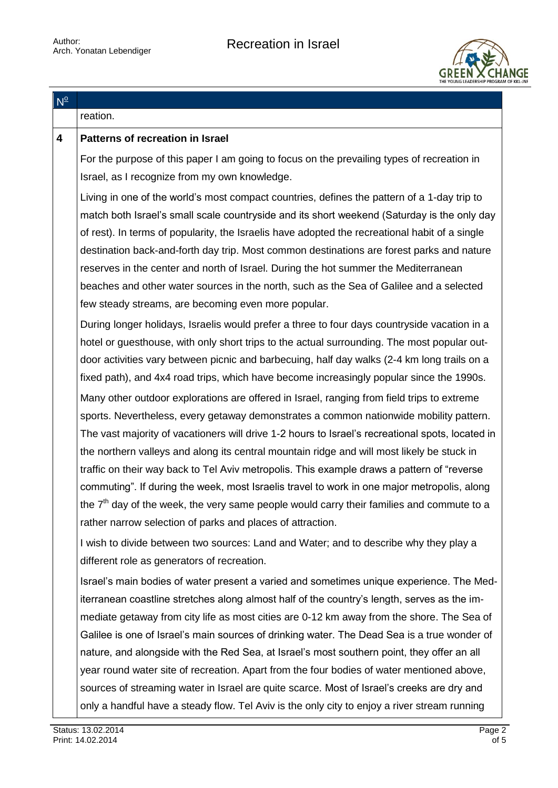

| $N^{\circ}$ |                                                                                                  |
|-------------|--------------------------------------------------------------------------------------------------|
|             | reation.                                                                                         |
| 4           | <b>Patterns of recreation in Israel</b>                                                          |
|             | For the purpose of this paper I am going to focus on the prevailing types of recreation in       |
|             | Israel, as I recognize from my own knowledge.                                                    |
|             | Living in one of the world's most compact countries, defines the pattern of a 1-day trip to      |
|             | match both Israel's small scale countryside and its short weekend (Saturday is the only day      |
|             | of rest). In terms of popularity, the Israelis have adopted the recreational habit of a single   |
|             | destination back-and-forth day trip. Most common destinations are forest parks and nature        |
|             | reserves in the center and north of Israel. During the hot summer the Mediterranean              |
|             | beaches and other water sources in the north, such as the Sea of Galilee and a selected          |
|             | few steady streams, are becoming even more popular.                                              |
|             | During longer holidays, Israelis would prefer a three to four days countryside vacation in a     |
|             | hotel or guesthouse, with only short trips to the actual surrounding. The most popular out-      |
|             | door activities vary between picnic and barbecuing, half day walks (2-4 km long trails on a      |
|             | fixed path), and 4x4 road trips, which have become increasingly popular since the 1990s.         |
|             | Many other outdoor explorations are offered in Israel, ranging from field trips to extreme       |
|             | sports. Nevertheless, every getaway demonstrates a common nationwide mobility pattern.           |
|             | The vast majority of vacationers will drive 1-2 hours to Israel's recreational spots, located in |
|             | the northern valleys and along its central mountain ridge and will most likely be stuck in       |
|             | traffic on their way back to Tel Aviv metropolis. This example draws a pattern of "reverse"      |
|             | commuting". If during the week, most Israelis travel to work in one major metropolis, along      |
|             | the $7th$ day of the week, the very same people would carry their families and commute to a      |
|             | rather narrow selection of parks and places of attraction.                                       |
|             | I wish to divide between two sources: Land and Water; and to describe why they play a            |
|             | different role as generators of recreation.                                                      |
|             | Israel's main bodies of water present a varied and sometimes unique experience. The Med-         |
|             | iterranean coastline stretches along almost half of the country's length, serves as the im-      |
|             | mediate getaway from city life as most cities are 0-12 km away from the shore. The Sea of        |
|             | Galilee is one of Israel's main sources of drinking water. The Dead Sea is a true wonder of      |
|             | nature, and alongside with the Red Sea, at Israel's most southern point, they offer an all       |
|             | year round water site of recreation. Apart from the four bodies of water mentioned above,        |
|             | sources of streaming water in Israel are quite scarce. Most of Israel's creeks are dry and       |
|             | only a handful have a steady flow. Tel Aviv is the only city to enjoy a river stream running     |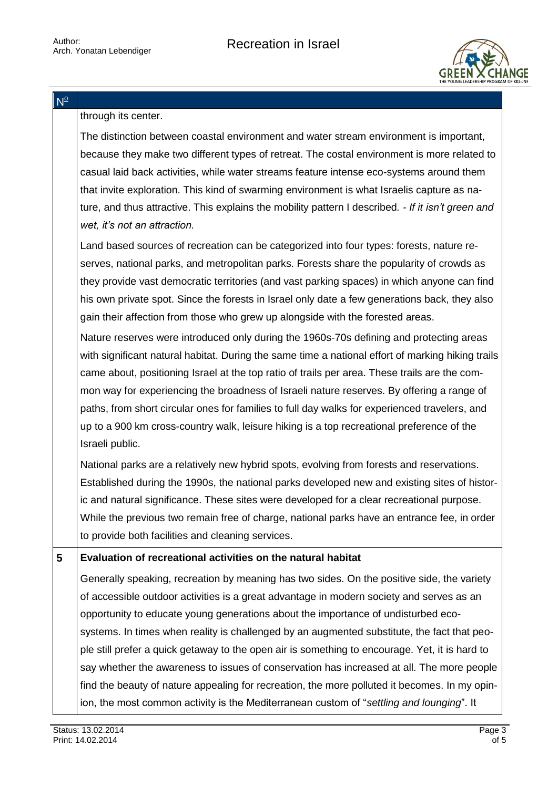$N^{\circ}$ 



through its center.

The distinction between coastal environment and water stream environment is important, because they make two different types of retreat. The costal environment is more related to casual laid back activities, while water streams feature intense eco-systems around them that invite exploration. This kind of swarming environment is what Israelis capture as nature, and thus attractive. This explains the mobility pattern I described*. - If it isn't green and wet, it's not an attraction.*

Land based sources of recreation can be categorized into four types: forests, nature reserves, national parks, and metropolitan parks. Forests share the popularity of crowds as they provide vast democratic territories (and vast parking spaces) in which anyone can find his own private spot. Since the forests in Israel only date a few generations back, they also gain their affection from those who grew up alongside with the forested areas.

Nature reserves were introduced only during the 1960s-70s defining and protecting areas with significant natural habitat. During the same time a national effort of marking hiking trails came about, positioning Israel at the top ratio of trails per area. These trails are the common way for experiencing the broadness of Israeli nature reserves. By offering a range of paths, from short circular ones for families to full day walks for experienced travelers, and up to a 900 km cross-country walk, leisure hiking is a top recreational preference of the Israeli public.

National parks are a relatively new hybrid spots, evolving from forests and reservations. Established during the 1990s, the national parks developed new and existing sites of historic and natural significance. These sites were developed for a clear recreational purpose. While the previous two remain free of charge, national parks have an entrance fee, in order to provide both facilities and cleaning services.

**5 Evaluation of recreational activities on the natural habitat**

Generally speaking, recreation by meaning has two sides. On the positive side, the variety of accessible outdoor activities is a great advantage in modern society and serves as an opportunity to educate young generations about the importance of undisturbed ecosystems. In times when reality is challenged by an augmented substitute, the fact that people still prefer a quick getaway to the open air is something to encourage. Yet, it is hard to say whether the awareness to issues of conservation has increased at all. The more people find the beauty of nature appealing for recreation, the more polluted it becomes. In my opinion, the most common activity is the Mediterranean custom of "*settling and lounging*". It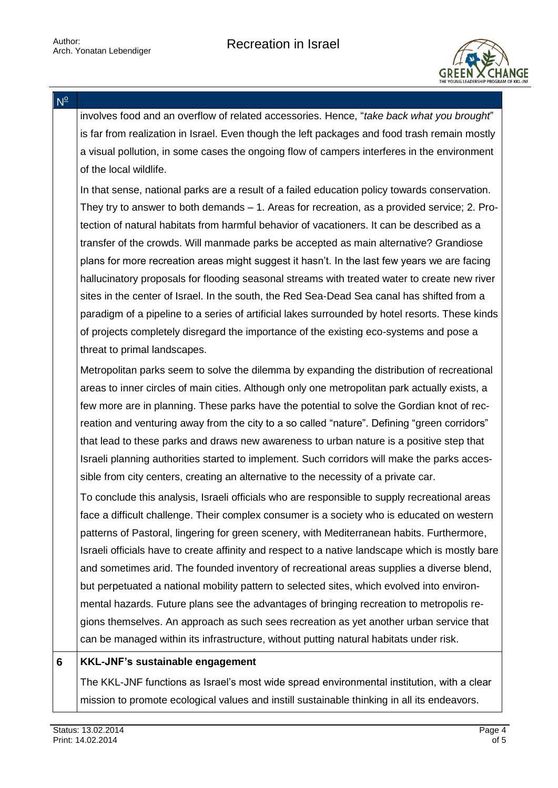

 $N^{\circ}$ 

involves food and an overflow of related accessories. Hence, "*take back what you brought*" is far from realization in Israel. Even though the left packages and food trash remain mostly a visual pollution, in some cases the ongoing flow of campers interferes in the environment of the local wildlife.

In that sense, national parks are a result of a failed education policy towards conservation. They try to answer to both demands – 1. Areas for recreation, as a provided service; 2. Protection of natural habitats from harmful behavior of vacationers. It can be described as a transfer of the crowds. Will manmade parks be accepted as main alternative? Grandiose plans for more recreation areas might suggest it hasn't. In the last few years we are facing hallucinatory proposals for flooding seasonal streams with treated water to create new river sites in the center of Israel. In the south, the Red Sea-Dead Sea canal has shifted from a paradigm of a pipeline to a series of artificial lakes surrounded by hotel resorts. These kinds of projects completely disregard the importance of the existing eco-systems and pose a threat to primal landscapes.

Metropolitan parks seem to solve the dilemma by expanding the distribution of recreational areas to inner circles of main cities. Although only one metropolitan park actually exists, a few more are in planning. These parks have the potential to solve the Gordian knot of recreation and venturing away from the city to a so called "nature". Defining "green corridors" that lead to these parks and draws new awareness to urban nature is a positive step that Israeli planning authorities started to implement. Such corridors will make the parks accessible from city centers, creating an alternative to the necessity of a private car.

To conclude this analysis, Israeli officials who are responsible to supply recreational areas face a difficult challenge. Their complex consumer is a society who is educated on western patterns of Pastoral, lingering for green scenery, with Mediterranean habits. Furthermore, Israeli officials have to create affinity and respect to a native landscape which is mostly bare and sometimes arid. The founded inventory of recreational areas supplies a diverse blend, but perpetuated a national mobility pattern to selected sites, which evolved into environmental hazards. Future plans see the advantages of bringing recreation to metropolis regions themselves. An approach as such sees recreation as yet another urban service that can be managed within its infrastructure, without putting natural habitats under risk.

## **6 KKL-JNF's sustainable engagement**

The KKL-JNF functions as Israel's most wide spread environmental institution, with a clear mission to promote ecological values and instill sustainable thinking in all its endeavors.